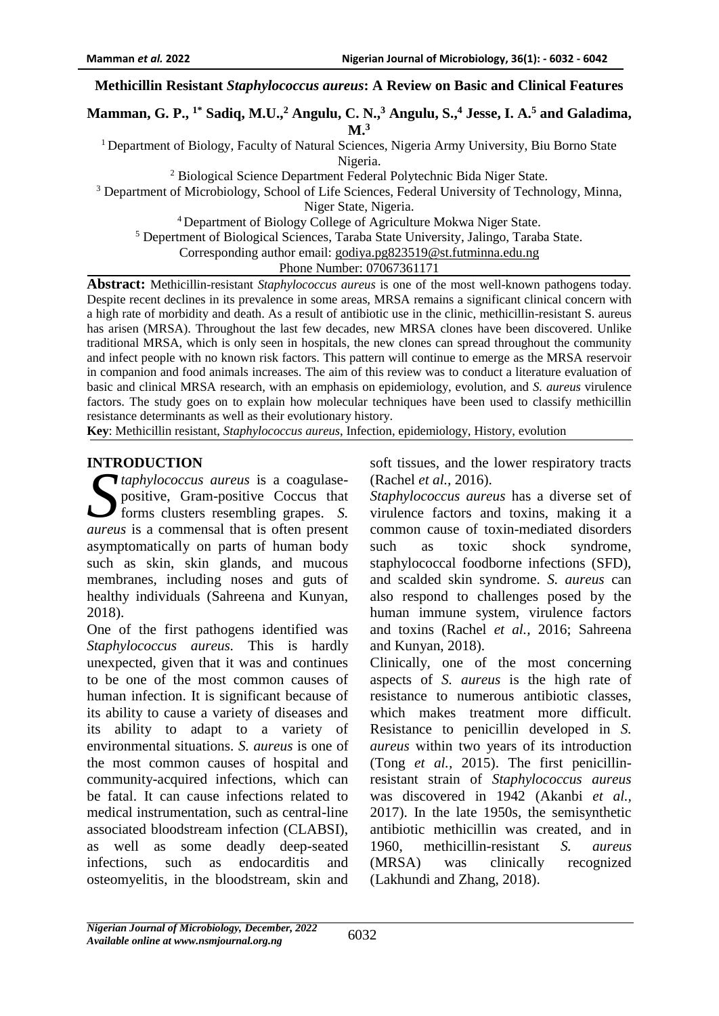### **Methicillin Resistant** *Staphylococcus aureus***: A Review on Basic and Clinical Features**

**Mamman, G. P., 1\* Sadiq, M.U., <sup>2</sup> Angulu, C. N., <sup>3</sup> Angulu, S., <sup>4</sup> Jesse, I. A. <sup>5</sup> and Galadima, M. 3**

<sup>1</sup> Department of Biology, Faculty of Natural Sciences, Nigeria Army University, Biu Borno State Nigeria.

<sup>2</sup> Biological Science Department Federal Polytechnic Bida Niger State.

<sup>3</sup> Department of Microbiology, School of Life Sciences, Federal University of Technology, Minna,

Niger State, Nigeria.

<sup>4</sup>Department of Biology College of Agriculture Mokwa Niger State.

<sup>5</sup> Depertment of Biological Sciences, Taraba State University, Jalingo, Taraba State.

Corresponding author email: [godiya.pg823519@st.futminna.edu.ng](mailto:godiya.pg823519@st.futminna.edu.ng)

Phone Number: 07067361171

**Abstract:** Methicillin-resistant *Staphylococcus aureus* is one of the most well-known pathogens today. Despite recent declines in its prevalence in some areas, MRSA remains a significant clinical concern with a high rate of morbidity and death. As a result of antibiotic use in the clinic, methicillin-resistant S. aureus has arisen (MRSA). Throughout the last few decades, new MRSA clones have been discovered. Unlike traditional MRSA, which is only seen in hospitals, the new clones can spread throughout the community and infect people with no known risk factors. This pattern will continue to emerge as the MRSA reservoir in companion and food animals increases. The aim of this review was to conduct a literature evaluation of basic and clinical MRSA research, with an emphasis on epidemiology, evolution, and *S. aureus* virulence factors. The study goes on to explain how molecular techniques have been used to classify methicillin resistance determinants as well as their evolutionary history.

**Key**: Methicillin resistant, *Staphylococcus aureus*, Infection, epidemiology, History, evolution

#### **INTRODUCTION**

*taphylococcus aureus* is a coagulasepositive, Gram-positive Coccus that forms clusters resembling grapes. *S. S aureus* is a commensal that is often present asymptomatically on parts of human body such as skin, skin glands, and mucous membranes, including noses and guts of healthy individuals (Sahreena and Kunyan, 2018).

One of the first pathogens identified was *Staphylococcus aureus.* This is hardly unexpected, given that it was and continues to be one of the most common causes of human infection. It is significant because of its ability to cause a variety of diseases and its ability to adapt to a variety of environmental situations. *S. aureus* is one of the most common causes of hospital and community-acquired infections, which can be fatal. It can cause infections related to medical instrumentation, such as central-line associated bloodstream infection (CLABSI), as well as some deadly deep-seated infections, such as endocarditis and osteomyelitis, in the bloodstream, skin and

soft tissues, and the lower respiratory tracts (Rachel *et al.,* 2016).

*Staphylococcus aureus* has a diverse set of virulence factors and toxins, making it a common cause of toxin-mediated disorders such as toxic shock syndrome, staphylococcal foodborne infections (SFD), and scalded skin syndrome. *S. aureus* can also respond to challenges posed by the human immune system, virulence factors and toxins (Rachel *et al.,* 2016; Sahreena and Kunyan, 2018).

Clinically, one of the most concerning aspects of *S. aureus* is the high rate of resistance to numerous antibiotic classes, which makes treatment more difficult. Resistance to penicillin developed in *S. aureus* within two years of its introduction (Tong *et al.,* 2015). The first penicillinresistant strain of *Staphylococcus aureus* was discovered in 1942 (Akanbi *et al.,* 2017). In the late 1950s, the semisynthetic antibiotic methicillin was created, and in 1960, methicillin-resistant *S. aureus* (MRSA) was clinically recognized (Lakhundi and Zhang, 2018).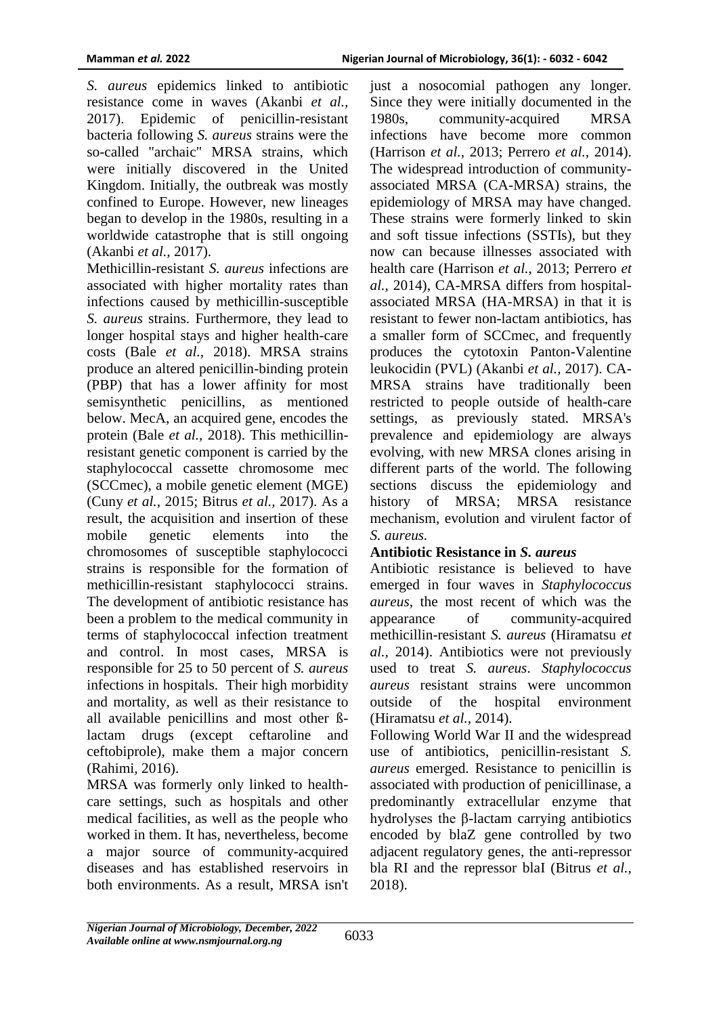*S. aureus* epidemics linked to antibiotic resistance come in waves (Akanbi *et al.,* 2017). Epidemic of penicillin-resistant bacteria following *S. aureus* strains were the so-called "archaic" MRSA strains, which were initially discovered in the United Kingdom. Initially, the outbreak was mostly confined to Europe. However, new lineages began to develop in the 1980s, resulting in a worldwide catastrophe that is still ongoing (Akanbi *et al.,* 2017).

Methicillin-resistant *S. aureus* infections are associated with higher mortality rates than infections caused by methicillin-susceptible *S. aureus* strains. Furthermore, they lead to longer hospital stays and higher health-care costs (Bale *et al.,* 2018). MRSA strains produce an altered penicillin-binding protein (PBP) that has a lower affinity for most semisynthetic penicillins, as mentioned below. MecA, an acquired gene, encodes the protein (Bale *et al.,* 2018). This methicillinresistant genetic component is carried by the staphylococcal cassette chromosome mec (SCCmec), a mobile genetic element (MGE) (Cuny *et al.,* 2015; Bitrus *et al.,* 2017). As a result, the acquisition and insertion of these mobile genetic elements into the chromosomes of susceptible staphylococci strains is responsible for the formation of methicillin-resistant staphylococci strains. The development of antibiotic resistance has been a problem to the medical community in terms of staphylococcal infection treatment and control. In most cases, MRSA is responsible for 25 to 50 percent of *S. aureus* infections in hospitals. Their high morbidity and mortality, as well as their resistance to all available penicillins and most other ßlactam drugs (except ceftaroline and ceftobiprole), make them a major concern (Rahimi*,* 2016).

MRSA was formerly only linked to healthcare settings, such as hospitals and other medical facilities, as well as the people who worked in them. It has, nevertheless, become a major source of community-acquired diseases and has established reservoirs in both environments. As a result, MRSA isn't

just a nosocomial pathogen any longer. Since they were initially documented in the 1980s, community-acquired MRSA infections have become more common (Harrison *et al.,* 2013; Perrero *et al.,* 2014). The widespread introduction of communityassociated MRSA (CA-MRSA) strains, the epidemiology of MRSA may have changed. These strains were formerly linked to skin and soft tissue infections (SSTIs), but they now can because illnesses associated with health care (Harrison *et al.,* 2013; Perrero *et al.,* 2014), CA-MRSA differs from hospitalassociated MRSA (HA-MRSA) in that it is resistant to fewer non-lactam antibiotics, has a smaller form of SCCmec, and frequently produces the cytotoxin Panton-Valentine leukocidin (PVL) (Akanbi *et al.,* 2017). CA-MRSA strains have traditionally been restricted to people outside of health-care settings, as previously stated. MRSA's prevalence and epidemiology are always evolving, with new MRSA clones arising in different parts of the world. The following sections discuss the epidemiology and history of MRSA; MRSA resistance mechanism, evolution and virulent factor of *S. aureus.* 

### **Antibiotic Resistance in** *S. aureus*

Antibiotic resistance is believed to have emerged in four waves in *Staphylococcus aureus*, the most recent of which was the appearance of community-acquired methicillin-resistant *S. aureus* (Hiramatsu *et al.,* 2014). Antibiotics were not previously used to treat *S. aureus*. *Staphylococcus aureus* resistant strains were uncommon outside of the hospital environment (Hiramatsu *et al.,* 2014).

Following World War II and the widespread use of antibiotics, penicillin-resistant *S. aureus* emerged. Resistance to penicillin is associated with production of penicillinase, a predominantly extracellular enzyme that hydrolyses the β-lactam carrying antibiotics encoded by blaZ gene controlled by two adjacent regulatory genes, the anti-repressor bla RI and the repressor blaI (Bitrus *et al.,* 2018).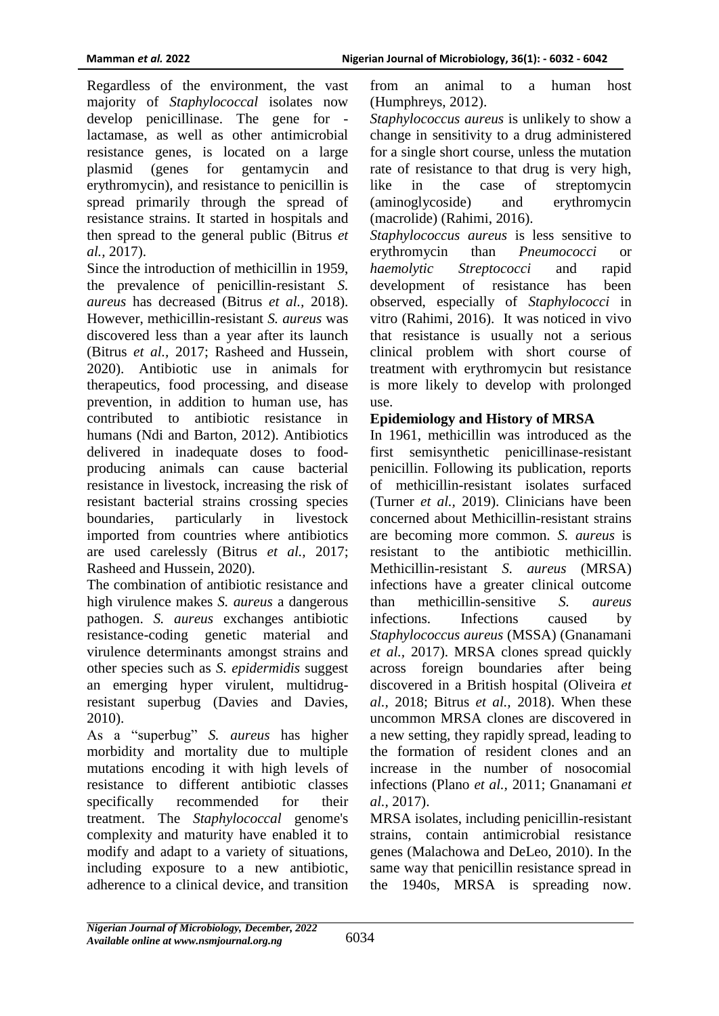Regardless of the environment, the vast majority of *Staphylococcal* isolates now develop penicillinase. The gene for lactamase, as well as other antimicrobial resistance genes, is located on a large plasmid (genes for gentamycin and erythromycin), and resistance to penicillin is spread primarily through the spread of resistance strains. It started in hospitals and then spread to the general public (Bitrus *et al.,* 2017).

Since the introduction of methicillin in 1959, the prevalence of penicillin-resistant *S. aureus* has decreased (Bitrus *et al.,* 2018). However, methicillin-resistant *S. aureus* was discovered less than a year after its launch (Bitrus *et al.,* 2017; Rasheed and Hussein, 2020). Antibiotic use in animals for therapeutics, food processing, and disease prevention, in addition to human use, has contributed to antibiotic resistance in humans (Ndi and Barton, 2012). Antibiotics delivered in inadequate doses to foodproducing animals can cause bacterial resistance in livestock, increasing the risk of resistant bacterial strains crossing species boundaries, particularly in livestock imported from countries where antibiotics are used carelessly (Bitrus *et al.,* 2017; Rasheed and Hussein, 2020).

The combination of antibiotic resistance and high virulence makes *S. aureus* a dangerous pathogen. *S. aureus* exchanges antibiotic resistance-coding genetic material and virulence determinants amongst strains and other species such as *S. epidermidis* suggest an emerging hyper virulent, multidrugresistant superbug (Davies and Davies, 2010).

As a "superbug" *S. aureus* has higher morbidity and mortality due to multiple mutations encoding it with high levels of resistance to different antibiotic classes specifically recommended for their treatment. The *Staphylococcal* genome's complexity and maturity have enabled it to modify and adapt to a variety of situations, including exposure to a new antibiotic, adherence to a clinical device, and transition

from an animal to a human host (Humphreys, 2012).

*Staphylococcus aureus* is unlikely to show a change in sensitivity to a drug administered for a single short course, unless the mutation rate of resistance to that drug is very high, like in the case of streptomycin (aminoglycoside) and erythromycin (macrolide) (Rahimi, 2016).

*Staphylococcus aureus* is less sensitive to erythromycin than *Pneumococci* or *haemolytic Streptococci* and rapid development of resistance has been observed, especially of *Staphylococci* in vitro (Rahimi, 2016). It was noticed in vivo that resistance is usually not a serious clinical problem with short course of treatment with erythromycin but resistance is more likely to develop with prolonged use.

# **Epidemiology and History of MRSA**

In 1961, methicillin was introduced as the first semisynthetic penicillinase-resistant penicillin. Following its publication, reports of methicillin-resistant isolates surfaced (Turner *et al.,* 2019). Clinicians have been concerned about Methicillin-resistant strains are becoming more common. *S. aureus* is resistant to the antibiotic methicillin. Methicillin-resistant *S. aureus* (MRSA) infections have a greater clinical outcome than methicillin-sensitive *S. aureus* infections. Infections caused by *Staphylococcus aureus* (MSSA) (Gnanamani *et al.,* 2017). MRSA clones spread quickly across foreign boundaries after being discovered in a British hospital (Oliveira *et al.,* 2018; Bitrus *et al.,* 2018). When these uncommon MRSA clones are discovered in a new setting, they rapidly spread, leading to the formation of resident clones and an increase in the number of nosocomial infections (Plano *et al.,* 2011; Gnanamani *et al.,* 2017).

MRSA isolates, including penicillin-resistant strains, contain antimicrobial resistance genes (Malachowa and DeLeo, 2010). In the same way that penicillin resistance spread in the 1940s, MRSA is spreading now.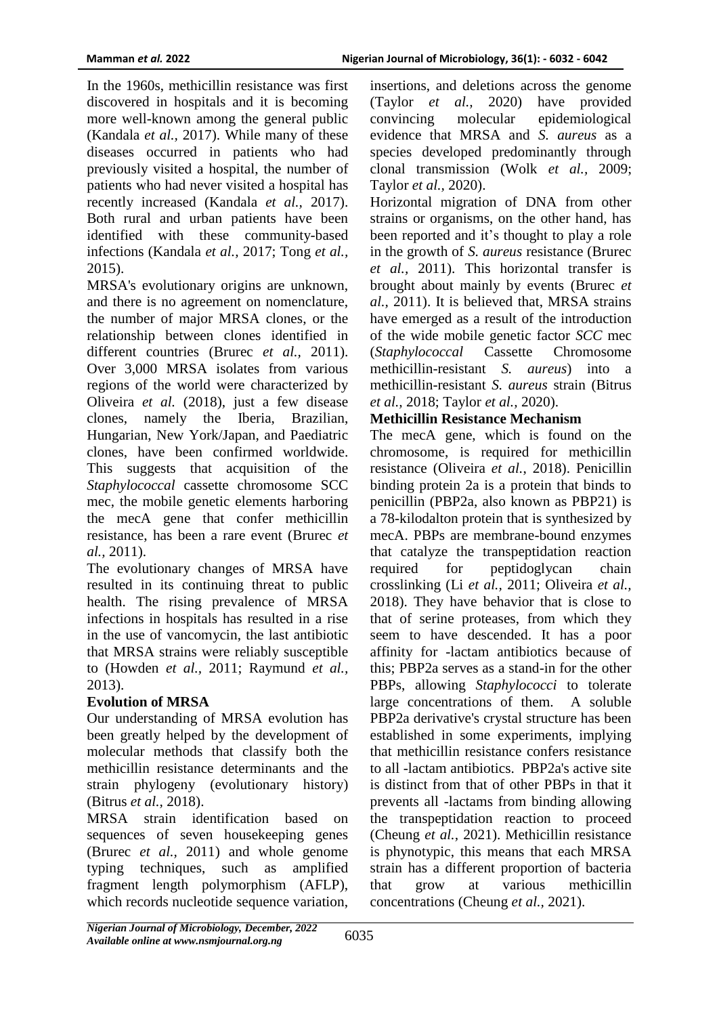In the 1960s, methicillin resistance was first discovered in hospitals and it is becoming more well-known among the general public (Kandala *et al.,* 2017). While many of these diseases occurred in patients who had previously visited a hospital, the number of patients who had never visited a hospital has recently increased (Kandala *et al.,* 2017). Both rural and urban patients have been identified with these community-based infections (Kandala *et al.,* 2017; Tong *et al.,* 2015).

MRSA's evolutionary origins are unknown, and there is no agreement on nomenclature, the number of major MRSA clones, or the relationship between clones identified in different countries (Brurec *et al.,* 2011). Over 3,000 MRSA isolates from various regions of the world were characterized by Oliveira *et al.* (2018), just a few disease clones, namely the Iberia, Brazilian, Hungarian, New York/Japan, and Paediatric clones, have been confirmed worldwide. This suggests that acquisition of the *Staphylococcal* cassette chromosome SCC mec, the mobile genetic elements harboring the mecA gene that confer methicillin resistance, has been a rare event (Brurec *et al.,* 2011).

The evolutionary changes of MRSA have resulted in its continuing threat to public health. The rising prevalence of MRSA infections in hospitals has resulted in a rise in the use of vancomycin, the last antibiotic that MRSA strains were reliably susceptible to (Howden *et al.,* 2011; Raymund *et al.,* 2013).

### **Evolution of MRSA**

Our understanding of MRSA evolution has been greatly helped by the development of molecular methods that classify both the methicillin resistance determinants and the strain phylogeny (evolutionary history) (Bitrus *et al.,* 2018).

MRSA strain identification based on sequences of seven housekeeping genes (Brurec *et al.,* 2011) and whole genome typing techniques, such as amplified fragment length polymorphism (AFLP), which records nucleotide sequence variation, insertions, and deletions across the genome (Taylor *et al.,* 2020) have provided convincing molecular epidemiological evidence that MRSA and *S. aureus* as a species developed predominantly through clonal transmission (Wolk *et al.,* 2009; Taylor *et al.,* 2020).

Horizontal migration of DNA from other strains or organisms, on the other hand, has been reported and it's thought to play a role in the growth of *S. aureus* resistance (Brurec *et al.,* 2011). This horizontal transfer is brought about mainly by events (Brurec *et al.,* 2011). It is believed that, MRSA strains have emerged as a result of the introduction of the wide mobile genetic factor *SCC* mec (*Staphylococcal* Cassette Chromosome methicillin-resistant *S. aureus*) into a methicillin-resistant *S. aureus* strain (Bitrus *et al.,* 2018; Taylor *et al.,* 2020).

# **Methicillin Resistance Mechanism**

The mecA gene, which is found on the chromosome, is required for methicillin resistance (Oliveira *et al.*, 2018). Penicillin binding protein 2a is a protein that binds to penicillin (PBP2a, also known as PBP21) is a 78-kilodalton protein that is synthesized by mecA. PBPs are membrane-bound enzymes that catalyze the transpeptidation reaction required for peptidoglycan chain crosslinking (Li *et al.,* 2011; Oliveira *et al.,* 2018). They have behavior that is close to that of serine proteases, from which they seem to have descended. It has a poor affinity for -lactam antibiotics because of this; PBP2a serves as a stand-in for the other PBPs, allowing *Staphylococci* to tolerate large concentrations of them. A soluble PBP2a derivative's crystal structure has been established in some experiments, implying that methicillin resistance confers resistance to all -lactam antibiotics. PBP2a's active site is distinct from that of other PBPs in that it prevents all -lactams from binding allowing the transpeptidation reaction to proceed (Cheung *et al.,* 2021). Methicillin resistance is phynotypic, this means that each MRSA strain has a different proportion of bacteria that grow at various methicillin concentrations (Cheung *et al.,* 2021).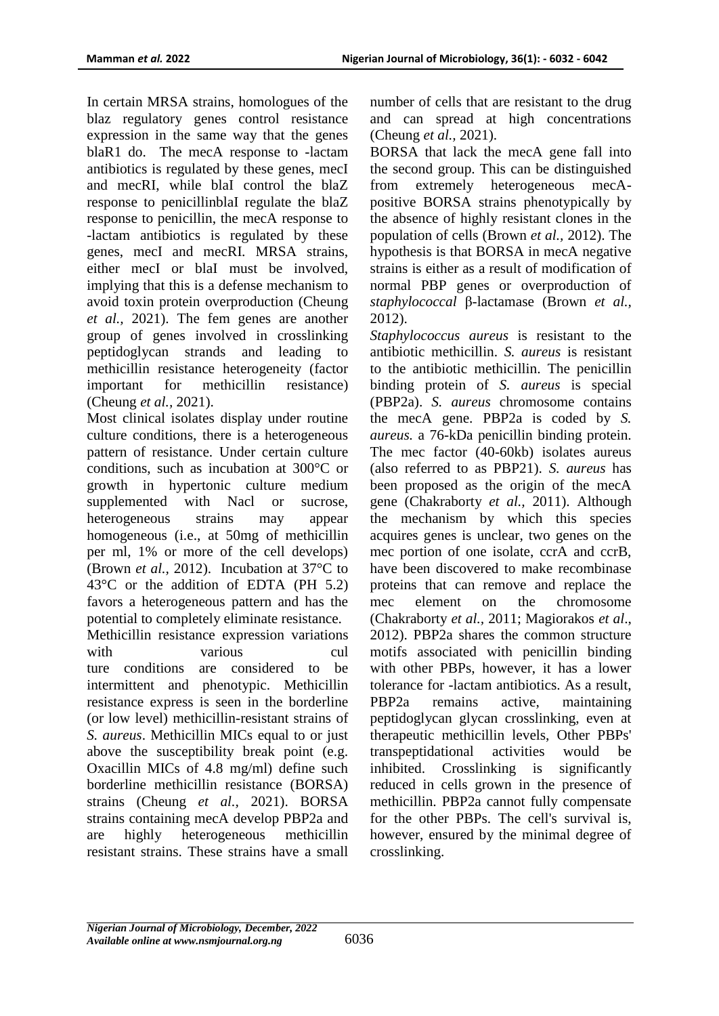In certain MRSA strains, homologues of the blaz regulatory genes control resistance expression in the same way that the genes blaR1 do. The mecA response to -lactam antibiotics is regulated by these genes, mecI and mecRI, while blaI control the blaZ response to penicillinblaI regulate the blaZ response to penicillin, the mecA response to -lactam antibiotics is regulated by these genes, mecI and mecRI. MRSA strains, either mecI or blaI must be involved, implying that this is a defense mechanism to avoid toxin protein overproduction (Cheung *et al.,* 2021). The fem genes are another group of genes involved in crosslinking peptidoglycan strands and leading to methicillin resistance heterogeneity (factor important for methicillin resistance) (Cheung *et al.,* 2021).

Most clinical isolates display under routine culture conditions, there is a heterogeneous pattern of resistance. Under certain culture conditions, such as incubation at 300°C or growth in hypertonic culture medium supplemented with Nacl or sucrose, heterogeneous strains may appear homogeneous (i.e., at 50mg of methicillin per ml, 1% or more of the cell develops) (Brown *et al.,* 2012). Incubation at 37°C to 43°C or the addition of EDTA (PH 5.2) favors a heterogeneous pattern and has the potential to completely eliminate resistance.

Methicillin resistance expression variations with various cul ture conditions are considered to be intermittent and phenotypic. Methicillin resistance express is seen in the borderline (or low level) methicillin-resistant strains of *S. aureus*. Methicillin MICs equal to or just above the susceptibility break point (e.g. Oxacillin MICs of 4.8 mg/ml) define such borderline methicillin resistance (BORSA) strains (Cheung *et al.,* 2021). BORSA strains containing mecA develop PBP2a and are highly heterogeneous methicillin resistant strains. These strains have a small

number of cells that are resistant to the drug and can spread at high concentrations (Cheung *et al.,* 2021).

BORSA that lack the mecA gene fall into the second group. This can be distinguished from extremely heterogeneous mecApositive BORSA strains phenotypically by the absence of highly resistant clones in the population of cells (Brown *et al.,* 2012). The hypothesis is that BORSA in mecA negative strains is either as a result of modification of normal PBP genes or overproduction of *staphylococcal* β-lactamase (Brown *et al.,* 2012).

*Staphylococcus aureus* is resistant to the antibiotic methicillin. *S. aureus* is resistant to the antibiotic methicillin. The penicillin binding protein of *S. aureus* is special (PBP2a). *S. aureus* chromosome contains the mecA gene. PBP2a is coded by *S. aureus.* a 76-kDa penicillin binding protein. The mec factor (40-60kb) isolates aureus (also referred to as PBP21). *S. aureus* has been proposed as the origin of the mecA gene (Chakraborty *et al.,* 2011). Although the mechanism by which this species acquires genes is unclear, two genes on the mec portion of one isolate, ccrA and ccrB, have been discovered to make recombinase proteins that can remove and replace the mec element on the chromosome (Chakraborty *et al.,* 2011; Magiorakos *et al*., 2012). PBP2a shares the common structure motifs associated with penicillin binding with other PBPs, however, it has a lower tolerance for -lactam antibiotics. As a result, PBP2a remains active, maintaining peptidoglycan glycan crosslinking, even at therapeutic methicillin levels, Other PBPs' transpeptidational activities would be inhibited. Crosslinking is significantly reduced in cells grown in the presence of methicillin. PBP2a cannot fully compensate for the other PBPs. The cell's survival is, however, ensured by the minimal degree of crosslinking.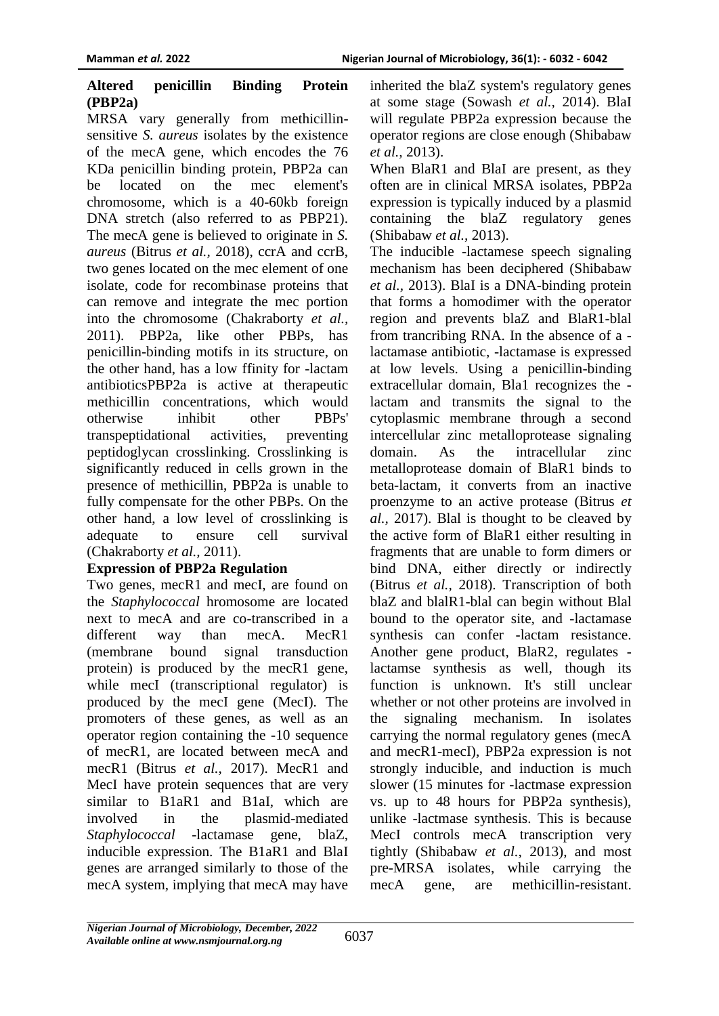#### **Altered penicillin Binding Protein (PBP2a)**

MRSA vary generally from methicillinsensitive *S. aureus* isolates by the existence of the mecA gene, which encodes the 76 KDa penicillin binding protein, PBP2a can be located on the mec element's chromosome, which is a 40-60kb foreign DNA stretch (also referred to as PBP21). The mecA gene is believed to originate in *S. aureus* (Bitrus *et al.,* 2018), ccrA and ccrB, two genes located on the mec element of one isolate, code for recombinase proteins that can remove and integrate the mec portion into the chromosome (Chakraborty *et al.,* 2011). PBP2a, like other PBPs, has penicillin-binding motifs in its structure, on the other hand, has a low ffinity for -lactam antibioticsPBP2a is active at therapeutic methicillin concentrations, which would otherwise inhibit other PBPs' transpeptidational activities, preventing peptidoglycan crosslinking. Crosslinking is significantly reduced in cells grown in the presence of methicillin, PBP2a is unable to fully compensate for the other PBPs. On the other hand, a low level of crosslinking is adequate to ensure cell survival (Chakraborty *et al.,* 2011).

### **Expression of PBP2a Regulation**

Two genes, mecR1 and mecI, are found on the *Staphylococcal* hromosome are located next to mecA and are co-transcribed in a different way than mecA. MecR1 (membrane bound signal transduction protein) is produced by the mecR1 gene, while mecI (transcriptional regulator) is produced by the mecI gene (MecI). The promoters of these genes, as well as an operator region containing the -10 sequence of mecR1, are located between mecA and mecR1 (Bitrus *et al.,* 2017). MecR1 and MecI have protein sequences that are very similar to B1aR1 and B1aI, which are involved in the plasmid-mediated *Staphylococcal* -lactamase gene, blaZ, inducible expression. The B1aR1 and BlaI genes are arranged similarly to those of the mecA system, implying that mecA may have

inherited the blaZ system's regulatory genes at some stage (Sowash *et al.,* 2014). BlaI will regulate PBP2a expression because the operator regions are close enough (Shibabaw *et al.,* 2013).

When BlaR1 and BlaI are present, as they often are in clinical MRSA isolates, PBP2a expression is typically induced by a plasmid containing the blaZ regulatory genes (Shibabaw *et al.,* 2013).

The inducible -lactamese speech signaling mechanism has been deciphered (Shibabaw *et al.,* 2013). BlaI is a DNA-binding protein that forms a homodimer with the operator region and prevents blaZ and BlaR1-blal from trancribing RNA. In the absence of a lactamase antibiotic, -lactamase is expressed at low levels. Using a penicillin-binding extracellular domain, Bla1 recognizes the lactam and transmits the signal to the cytoplasmic membrane through a second intercellular zinc metalloprotease signaling domain. As the intracellular zinc metalloprotease domain of BlaR1 binds to beta-lactam, it converts from an inactive proenzyme to an active protease (Bitrus *et al.,* 2017). Blal is thought to be cleaved by the active form of BlaR1 either resulting in fragments that are unable to form dimers or bind DNA, either directly or indirectly (Bitrus *et al.,* 2018). Transcription of both blaZ and blalR1-blal can begin without Blal bound to the operator site, and -lactamase synthesis can confer -lactam resistance. Another gene product, BlaR2, regulates lactamse synthesis as well, though its function is unknown. It's still unclear whether or not other proteins are involved in the signaling mechanism. In isolates carrying the normal regulatory genes (mecA and mecR1-mecI), PBP2a expression is not strongly inducible, and induction is much slower (15 minutes for -lactmase expression vs. up to 48 hours for PBP2a synthesis), unlike -lactmase synthesis. This is because MecI controls mecA transcription very tightly (Shibabaw *et al.,* 2013), and most pre-MRSA isolates, while carrying the mecA gene, are methicillin-resistant.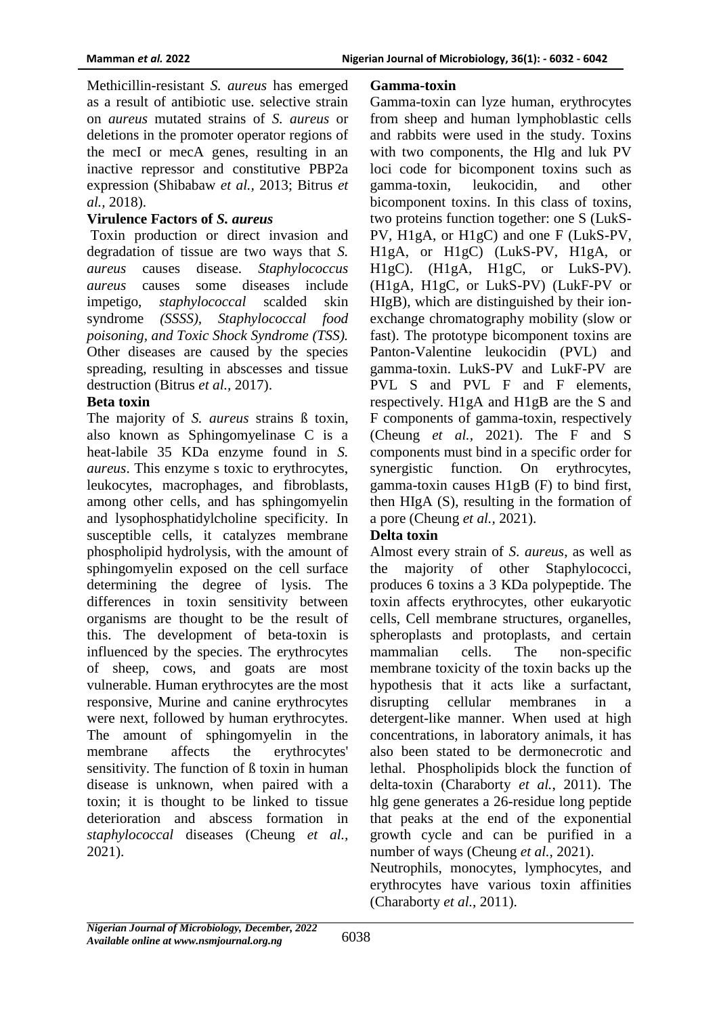Methicillin-resistant *S. aureus* has emerged as a result of antibiotic use. selective strain on *aureus* mutated strains of *S. aureus* or deletions in the promoter operator regions of the mecI or mecA genes, resulting in an inactive repressor and constitutive PBP2a expression (Shibabaw *et al.,* 2013; Bitrus *et al.,* 2018).

#### **Virulence Factors of** *S. aureus*

Toxin production or direct invasion and degradation of tissue are two ways that *S. aureus* causes disease. *Staphylococcus aureus* causes some diseases include impetigo, *staphylococcal* scalded skin syndrome *(SSSS), Staphylococcal food poisoning, and Toxic Shock Syndrome (TSS).*  Other diseases are caused by the species spreading, resulting in abscesses and tissue destruction (Bitrus *et al.,* 2017).

#### **Beta toxin**

The majority of *S. aureus* strains ß toxin, also known as Sphingomyelinase C is a heat-labile 35 KDa enzyme found in *S. aureus*. This enzyme s toxic to erythrocytes, leukocytes, macrophages, and fibroblasts, among other cells, and has sphingomyelin and lysophosphatidylcholine specificity. In susceptible cells, it catalyzes membrane phospholipid hydrolysis, with the amount of sphingomyelin exposed on the cell surface determining the degree of lysis. The differences in toxin sensitivity between organisms are thought to be the result of this. The development of beta-toxin is influenced by the species. The erythrocytes of sheep, cows, and goats are most vulnerable. Human erythrocytes are the most responsive, Murine and canine erythrocytes were next, followed by human erythrocytes. The amount of sphingomyelin in the membrane affects the erythrocytes' sensitivity. The function of ß toxin in human disease is unknown, when paired with a toxin; it is thought to be linked to tissue deterioration and abscess formation in *staphylococcal* diseases (Cheung *et al.,* 2021).

#### **Gamma-toxin**

Gamma-toxin can lyze human, erythrocytes from sheep and human lymphoblastic cells and rabbits were used in the study. Toxins with two components, the Hlg and luk PV loci code for bicomponent toxins such as gamma-toxin, leukocidin, and other bicomponent toxins. In this class of toxins, two proteins function together: one S (LukS-PV, H1gA, or H1gC) and one F (LukS-PV, H1gA, or H1gC) (LukS-PV, H1gA, or H1gC). (H1gA, H1gC, or LukS-PV). (H1gA, H1gC, or LukS-PV) (LukF-PV or HIgB), which are distinguished by their ionexchange chromatography mobility (slow or fast). The prototype bicomponent toxins are Panton-Valentine leukocidin (PVL) and gamma-toxin. LukS-PV and LukF-PV are PVL S and PVL F and F elements, respectively. H1gA and H1gB are the S and F components of gamma-toxin, respectively (Cheung *et al.,* 2021). The F and S components must bind in a specific order for synergistic function. On erythrocytes, gamma-toxin causes H1gB (F) to bind first, then HIgA (S), resulting in the formation of a pore (Cheung *et al.,* 2021).

### **Delta toxin**

Almost every strain of *S. aureus*, as well as the majority of other Staphylococci, produces 6 toxins a 3 KDa polypeptide. The toxin affects erythrocytes, other eukaryotic cells, Cell membrane structures, organelles, spheroplasts and protoplasts, and certain mammalian cells. The non-specific membrane toxicity of the toxin backs up the hypothesis that it acts like a surfactant, disrupting cellular membranes in a detergent-like manner. When used at high concentrations, in laboratory animals, it has also been stated to be dermonecrotic and lethal. Phospholipids block the function of delta-toxin (Charaborty *et al.*, 2011). The hlg gene generates a 26-residue long peptide that peaks at the end of the exponential growth cycle and can be purified in a number of ways (Cheung *et al.,* 2021).

Neutrophils, monocytes, lymphocytes, and erythrocytes have various toxin affinities (Charaborty *et al.*, 2011).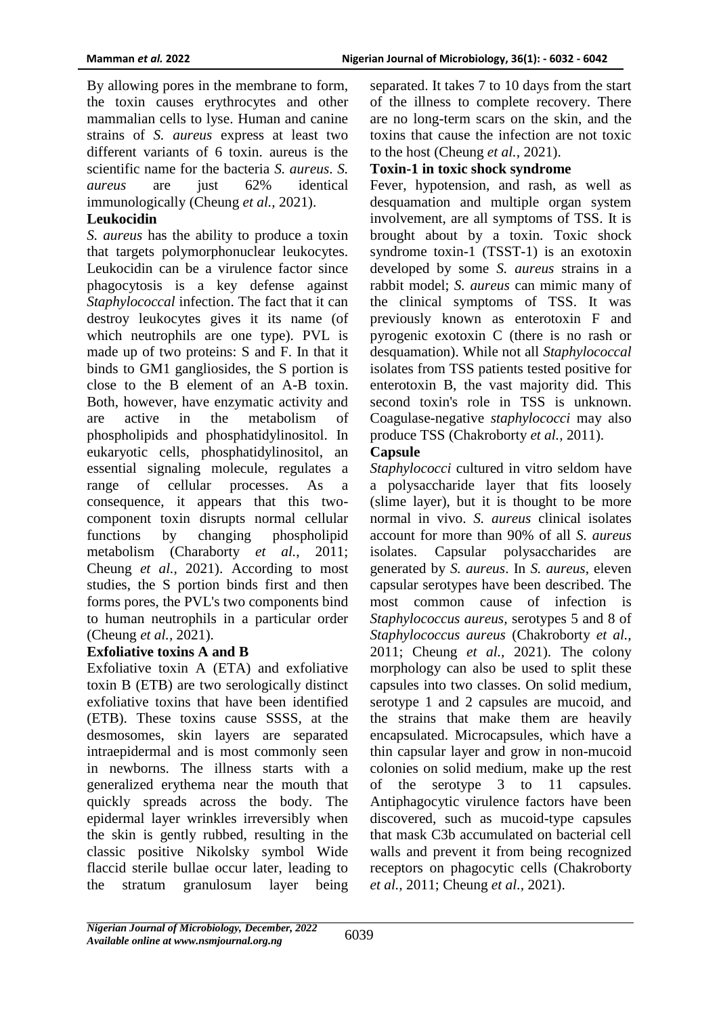By allowing pores in the membrane to form, the toxin causes erythrocytes and other mammalian cells to lyse. Human and canine strains of *S. aureus* express at least two different variants of 6 toxin. aureus is the scientific name for the bacteria *S. aureus*. *S. aureus* are just 62% identical immunologically (Cheung *et al.,* 2021).

### **Leukocidin**

*S. aureus* has the ability to produce a toxin that targets polymorphonuclear leukocytes. Leukocidin can be a virulence factor since phagocytosis is a key defense against *Staphylococcal* infection. The fact that it can destroy leukocytes gives it its name (of which neutrophils are one type). PVL is made up of two proteins: S and F. In that it binds to GM1 gangliosides, the S portion is close to the B element of an A-B toxin. Both, however, have enzymatic activity and are active in the metabolism of phospholipids and phosphatidylinositol. In eukaryotic cells, phosphatidylinositol, an essential signaling molecule, regulates a range of cellular processes. As a consequence, it appears that this twocomponent toxin disrupts normal cellular functions by changing phospholipid metabolism (Charaborty *et al.*, 2011; Cheung *et al.,* 2021). According to most studies, the S portion binds first and then forms pores, the PVL's two components bind to human neutrophils in a particular order (Cheung *et al.,* 2021).

### **Exfoliative toxins A and B**

Exfoliative toxin A (ETA) and exfoliative toxin B (ETB) are two serologically distinct exfoliative toxins that have been identified (ETB). These toxins cause SSSS, at the desmosomes, skin layers are separated intraepidermal and is most commonly seen in newborns. The illness starts with a generalized erythema near the mouth that quickly spreads across the body. The epidermal layer wrinkles irreversibly when the skin is gently rubbed, resulting in the classic positive Nikolsky symbol Wide flaccid sterile bullae occur later, leading to the stratum granulosum layer being

separated. It takes 7 to 10 days from the start of the illness to complete recovery. There are no long-term scars on the skin, and the toxins that cause the infection are not toxic to the host (Cheung *et al.,* 2021).

### **Toxin-1 in toxic shock syndrome**

Fever, hypotension, and rash, as well as desquamation and multiple organ system involvement, are all symptoms of TSS. It is brought about by a toxin. Toxic shock syndrome toxin-1 (TSST-1) is an exotoxin developed by some *S. aureus* strains in a rabbit model; *S. aureus* can mimic many of the clinical symptoms of TSS. It was previously known as enterotoxin F and pyrogenic exotoxin C (there is no rash or desquamation). While not all *Staphylococcal* isolates from TSS patients tested positive for enterotoxin B, the vast majority did. This second toxin's role in TSS is unknown. Coagulase-negative *staphylococci* may also produce TSS (Chakroborty *et al.,* 2011).

### **Capsule**

*Staphylococci* cultured in vitro seldom have a polysaccharide layer that fits loosely (slime layer), but it is thought to be more normal in vivo. *S. aureus* clinical isolates account for more than 90% of all *S. aureus* isolates. Capsular polysaccharides generated by *S. aureus*. In *S. aureus*, eleven capsular serotypes have been described. The most common cause of infection is *Staphylococcus aureus,* serotypes 5 and 8 of *Staphylococcus aureus* (Chakroborty *et al.,* 2011; Cheung *et al.,* 2021). The colony morphology can also be used to split these capsules into two classes. On solid medium, serotype 1 and 2 capsules are mucoid, and the strains that make them are heavily encapsulated. Microcapsules, which have a thin capsular layer and grow in non-mucoid colonies on solid medium, make up the rest of the serotype 3 to 11 capsules. Antiphagocytic virulence factors have been discovered, such as mucoid-type capsules that mask C3b accumulated on bacterial cell walls and prevent it from being recognized receptors on phagocytic cells (Chakroborty *et al.,* 2011; Cheung *et al.,* 2021).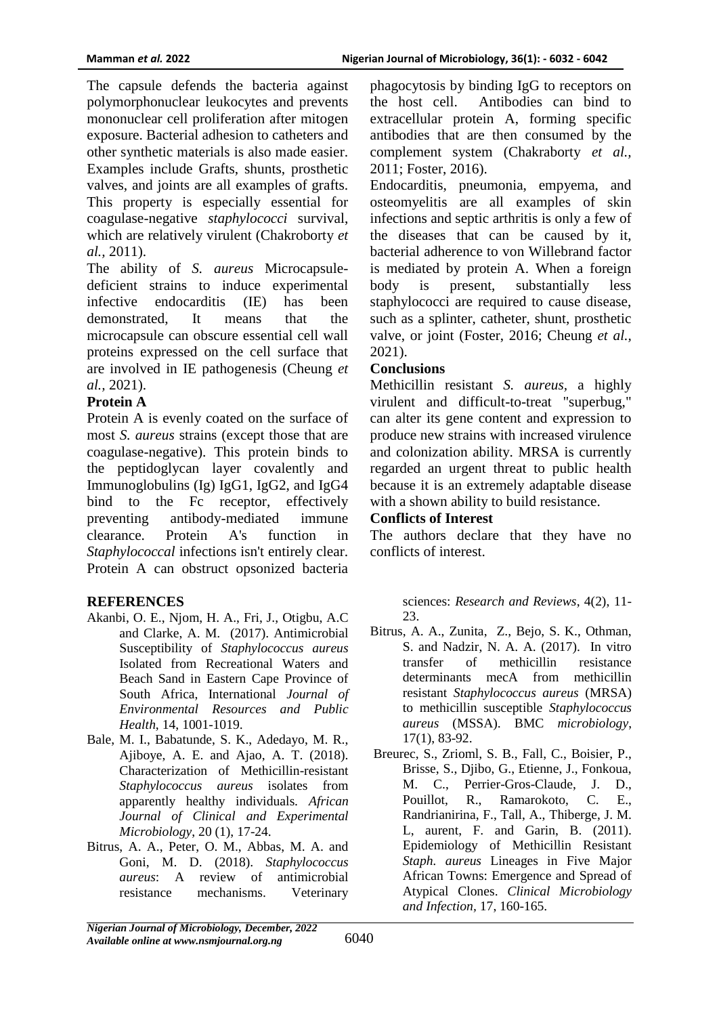The capsule defends the bacteria against polymorphonuclear leukocytes and prevents mononuclear cell proliferation after mitogen exposure. Bacterial adhesion to catheters and other synthetic materials is also made easier. Examples include Grafts, shunts, prosthetic valves, and joints are all examples of grafts. This property is especially essential for coagulase-negative *staphylococci* survival, which are relatively virulent (Chakroborty *et al.,* 2011).

The ability of *S. aureus* Microcapsuledeficient strains to induce experimental infective endocarditis (IE) has been demonstrated, It means that the microcapsule can obscure essential cell wall proteins expressed on the cell surface that are involved in IE pathogenesis (Cheung *et al.,* 2021).

# **Protein A**

Protein A is evenly coated on the surface of most *S. aureus* strains (except those that are coagulase-negative). This protein binds to the peptidoglycan layer covalently and Immunoglobulins (Ig) IgG1, IgG2, and IgG4 bind to the Fc receptor, effectively preventing antibody-mediated immune clearance. Protein A's function in *Staphylococcal* infections isn't entirely clear. Protein A can obstruct opsonized bacteria

# **REFERENCES**

- Akanbi, O. E., Njom, H. A., Fri, J., Otigbu, A.C and Clarke, A. M. (2017). Antimicrobial Susceptibility of *Staphylococcus aureus* Isolated from Recreational Waters and Beach Sand in Eastern Cape Province of South Africa, International *Journal of Environmental Resources and Public Health*, 14, 1001-1019.
- Bale, M. I., Babatunde, S. K., Adedayo, M. R., Ajiboye, A. E. and Ajao, A. T. (2018). Characterization of Methicillin-resistant *Staphylococcus aureus* isolates from apparently healthy individuals. *African Journal of Clinical and Experimental Microbiology*, 20 (1), 17-24.
- Bitrus, A. A., Peter, O. M., Abbas, M. A. and Goni, M. D. (2018). *Staphylococcus aureus*: A review of antimicrobial resistance mechanisms. Veterinary

phagocytosis by binding IgG to receptors on the host cell. Antibodies can bind to extracellular protein A, forming specific antibodies that are then consumed by the complement system (Chakraborty *et al.,* 2011; Foster, 2016).

Endocarditis, pneumonia, empyema, and osteomyelitis are all examples of skin infections and septic arthritis is only a few of the diseases that can be caused by it, bacterial adherence to von Willebrand factor is mediated by protein A. When a foreign body is present, substantially less staphylococci are required to cause disease, such as a splinter, catheter, shunt, prosthetic valve, or joint (Foster, 2016; Cheung *et al.,* 2021).

### **Conclusions**

Methicillin resistant *S. aureus,* a highly virulent and difficult-to-treat "superbug," can alter its gene content and expression to produce new strains with increased virulence and colonization ability. MRSA is currently regarded an urgent threat to public health because it is an extremely adaptable disease with a shown ability to build resistance.

### **Conflicts of Interest**

The authors declare that they have no conflicts of interest.

> sciences: *Research and Reviews*, 4(2), 11- 23.

- Bitrus, A. A., Zunita, Z., Bejo, S. K., Othman, S. and Nadzir, N. A. A. (2017). In vitro transfer of methicillin resistance determinants mecA from methicillin resistant *Staphylococcus aureus* (MRSA) to methicillin susceptible *Staphylococcus aureus* (MSSA). BMC *microbiology*, 17(1), 83-92.
- Breurec, S., Zrioml, S. B., Fall, C., Boisier, P., Brisse, S., Djibo, G., Etienne, J., Fonkoua, M. C., Perrier-Gros-Claude, J. D., Pouillot, R., Ramarokoto, C. E., Randrianirina, F., Tall, A., Thiberge, J. M. L, aurent, F. and Garin, B. (2011). Epidemiology of Methicillin Resistant *Staph. aureus* Lineages in Five Major African Towns: Emergence and Spread of Atypical Clones. *Clinical Microbiology and Infection,* 17, 160-165.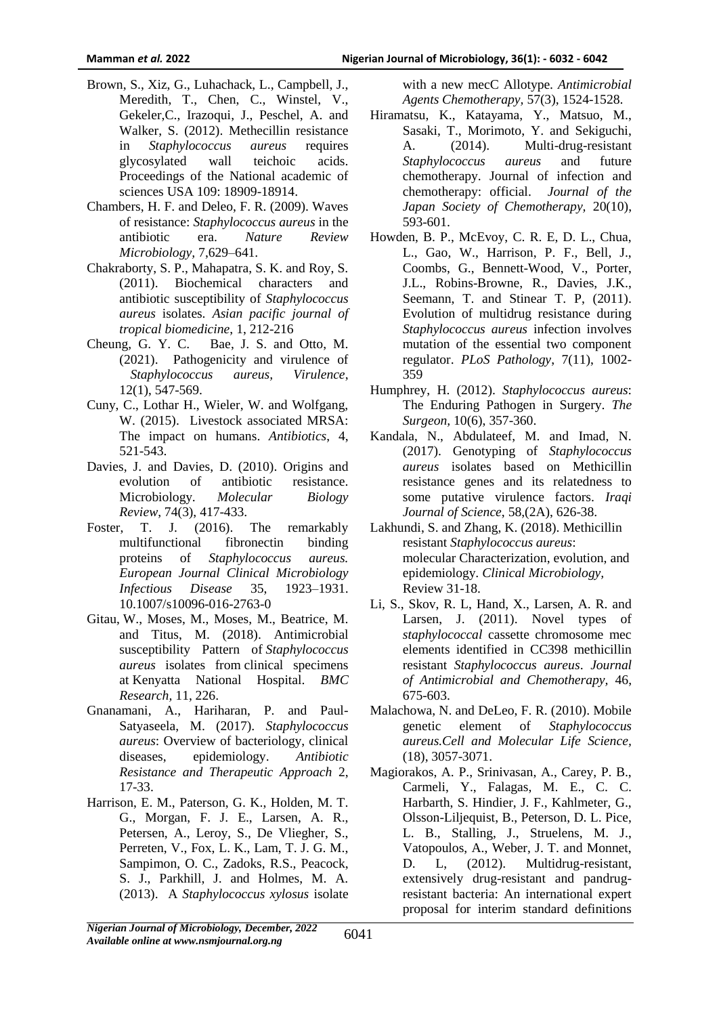- Brown, S., Xiz, G., Luhachack, L., Campbell, J., Meredith, T., Chen, C., Winstel, V., Gekeler,C., Irazoqui, J., Peschel, A. and Walker, S. (2012). Methecillin resistance in *Staphylococcus aureus* requires glycosylated wall teichoic acids. Proceedings of the National academic of sciences USA 109: 18909-18914.
- Chambers, H. F. and Deleo, F. R. (2009). Waves of resistance: *Staphylococcus aureus* in the antibiotic era. *Nature Review Microbiology,* 7,629–641.
- Chakraborty, S. P., Mahapatra, S. K. and Roy, S. (2011). Biochemical characters and antibiotic susceptibility of *Staphylococcus aureus* isolates. *Asian pacific journal of tropical biomedicine*, 1, 212-216
- Cheung, G. Y. C. Bae, J. S. and Otto, M. (2021). Pathogenicity and virulence of *Staphylococcus aureus, Virulence*, 12(1), 547-569.
- Cuny, C., Lothar H., Wieler, W. and Wolfgang, W. (2015). Livestock associated MRSA: The impact on humans. *Antibiotics*, 4, 521-543.
- Davies, J. and Davies, D. (2010). Origins and evolution of antibiotic resistance. Microbiology. *Molecular Biology Review*, 74(3), 417-433.
- Foster, T. J. (2016). The remarkably multifunctional fibronectin binding proteins of *Staphylococcus aureus. European Journal Clinical Microbiology Infectious Disease* 35, 1923–1931. 10.1007/s10096-016-2763-0
- Gitau, W., Moses, M., Moses, M., Beatrice, M. and Titus, M. (2018). Antimicrobial susceptibility Pattern of *Staphylococcus aureus* isolates from clinical specimens at Kenyatta National Hospital. *BMC Research,* 11, 226.
- Gnanamani, A., Hariharan, P. and Paul-Satyaseela, M. (2017). *Staphylococcus aureus*: Overview of bacteriology, clinical diseases, epidemiology. *Antibiotic Resistance and Therapeutic Approach* 2, 17-33.
- Harrison, E. M., Paterson, G. K., Holden, M. T. G., Morgan, F. J. E., Larsen, A. R., Petersen, A., Leroy, S., De Vliegher, S., Perreten, V., Fox, L. K., Lam, T. J. G. M., Sampimon, O. C., Zadoks, R.S., Peacock, S. J., Parkhill, J. and Holmes, M. A. (2013). A *Staphylococcus xylosus* isolate

with a new mecC Allotype. *Antimicrobial Agents Chemotherapy,* 57(3), 1524-1528.

- Hiramatsu, K., Katayama, Y., Matsuo, M., Sasaki, T., Morimoto, Y. and Sekiguchi, A. (2014). Multi-drug-resistant *Staphylococcus aureus* and future chemotherapy. Journal of infection and chemotherapy: official. *Journal of the Japan Society of Chemotherapy,* 20(10), 593-601.
- Howden, B. P., McEvoy, C. R. E, D. L., Chua, L., Gao, W., Harrison, P. F., Bell, J., Coombs, G., Bennett-Wood, V., Porter, J.L., Robins-Browne, R., Davies, J.K., Seemann, T. and Stinear T. P,  $(2011)$ . Evolution of multidrug resistance during *Staphylococcus aureus* infection involves mutation of the essential two component regulator. *PLoS Pathology*, 7(11), 1002- 359
- Humphrey, H. (2012). *Staphylococcus aureus*: The Enduring Pathogen in Surgery. *The Surgeon,* 10(6), 357-360.
- Kandala, N., Abdulateef, M. and Imad, N. (2017). Genotyping of *Staphylococcus aureus* isolates based on Methicillin resistance genes and its relatedness to some putative virulence factors. *Iraqi Journal of Science*, 58,(2A), 626-38.
- Lakhundi, S. and Zhang, K. (2018). Methicillin resistant *Staphylococcus aureus*: molecular Characterization, evolution, and epidemiology. *Clinical Microbiology,* Review 31-18.
- Li, S., Skov, R. L, Hand, X., Larsen, A. R. and Larsen, J. (2011). Novel types of *staphylococcal* cassette chromosome mec elements identified in CC398 methicillin resistant *Staphylococcus aureus*. *Journal of Antimicrobial and Chemotherapy,* 46, 675-603.
- Malachowa, N. and DeLeo, F. R. (2010). Mobile genetic element of *Staphylococcus aureus.Cell and Molecular Life Science,* (18), 3057-3071.
- Magiorakos, A. P., Srinivasan, A., Carey, P. B., Carmeli, Y., Falagas, M. E., C. C. Harbarth, S. Hindier, J. F., Kahlmeter, G., Olsson-Liljequist, B., Peterson, D. L. Pice, L. B., Stalling, J., Struelens, M. J., Vatopoulos, A., Weber, J. T. and Monnet, D. L, (2012). Multidrug-resistant, extensively drug-resistant and pandrugresistant bacteria: An international expert proposal for interim standard definitions